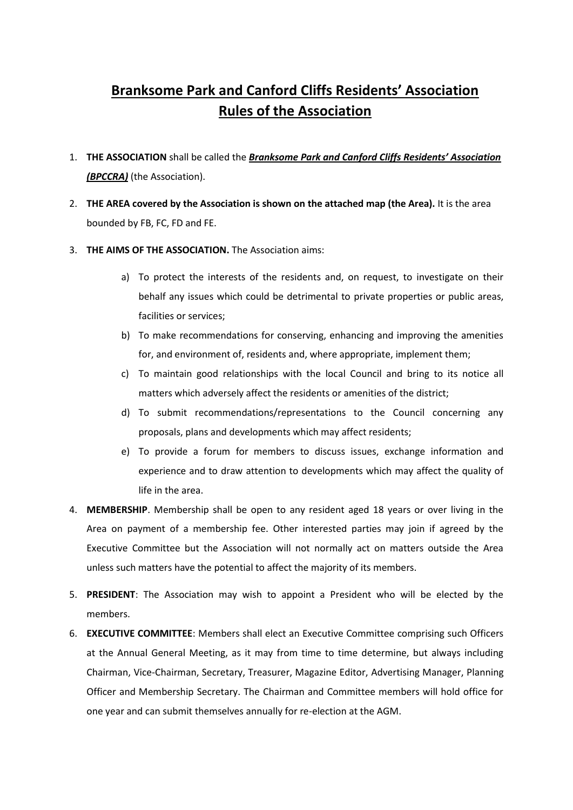## **Branksome Park and Canford Cliffs Residents' Association Rules of the Association**

- 1. **THE ASSOCIATION** shall be called the *Branksome Park and Canford Cliffs Residents' Association (BPCCRA)* (the Association).
- 2. **THE AREA covered by the Association is shown on the attached map (the Area).** It is the area bounded by FB, FC, FD and FE.
- 3. **THE AIMS OF THE ASSOCIATION.** The Association aims:
	- a) To protect the interests of the residents and, on request, to investigate on their behalf any issues which could be detrimental to private properties or public areas, facilities or services;
	- b) To make recommendations for conserving, enhancing and improving the amenities for, and environment of, residents and, where appropriate, implement them;
	- c) To maintain good relationships with the local Council and bring to its notice all matters which adversely affect the residents or amenities of the district;
	- d) To submit recommendations/representations to the Council concerning any proposals, plans and developments which may affect residents;
	- e) To provide a forum for members to discuss issues, exchange information and experience and to draw attention to developments which may affect the quality of life in the area.
- 4. **MEMBERSHIP**. Membership shall be open to any resident aged 18 years or over living in the Area on payment of a membership fee. Other interested parties may join if agreed by the Executive Committee but the Association will not normally act on matters outside the Area unless such matters have the potential to affect the majority of its members.
- 5. **PRESIDENT**: The Association may wish to appoint a President who will be elected by the members.
- 6. **EXECUTIVE COMMITTEE**: Members shall elect an Executive Committee comprising such Officers at the Annual General Meeting, as it may from time to time determine, but always including Chairman, Vice-Chairman, Secretary, Treasurer, Magazine Editor, Advertising Manager, Planning Officer and Membership Secretary. The Chairman and Committee members will hold office for one year and can submit themselves annually for re-election at the AGM.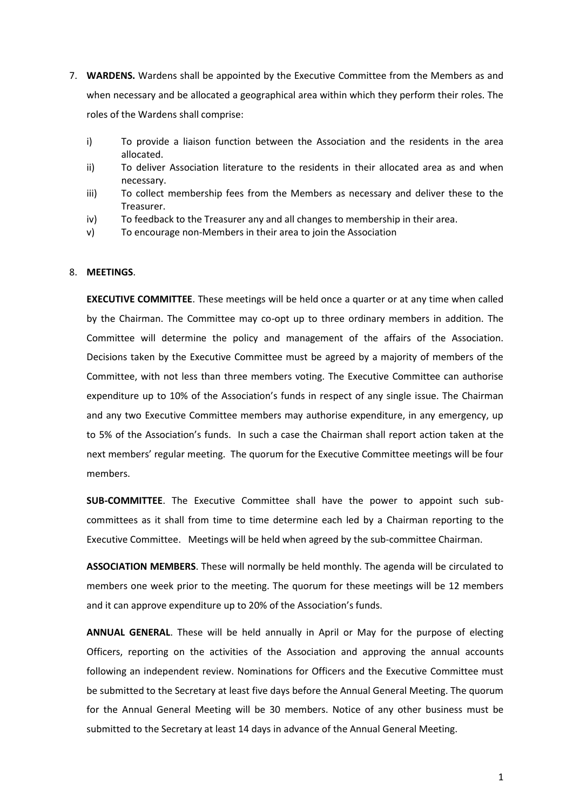- 7. **WARDENS.** Wardens shall be appointed by the Executive Committee from the Members as and when necessary and be allocated a geographical area within which they perform their roles. The roles of the Wardens shall comprise:
	- i) To provide a liaison function between the Association and the residents in the area allocated.
	- ii) To deliver Association literature to the residents in their allocated area as and when necessary.
	- iii) To collect membership fees from the Members as necessary and deliver these to the Treasurer.
	- iv) To feedback to the Treasurer any and all changes to membership in their area.
	- v) To encourage non-Members in their area to join the Association

## 8. **MEETINGS**.

**EXECUTIVE COMMITTEE**. These meetings will be held once a quarter or at any time when called by the Chairman. The Committee may co-opt up to three ordinary members in addition. The Committee will determine the policy and management of the affairs of the Association. Decisions taken by the Executive Committee must be agreed by a majority of members of the Committee, with not less than three members voting. The Executive Committee can authorise expenditure up to 10% of the Association's funds in respect of any single issue. The Chairman and any two Executive Committee members may authorise expenditure, in any emergency, up to 5% of the Association's funds. In such a case the Chairman shall report action taken at the next members' regular meeting. The quorum for the Executive Committee meetings will be four members.

**SUB-COMMITTEE**. The Executive Committee shall have the power to appoint such subcommittees as it shall from time to time determine each led by a Chairman reporting to the Executive Committee. Meetings will be held when agreed by the sub-committee Chairman.

**ASSOCIATION MEMBERS**. These will normally be held monthly. The agenda will be circulated to members one week prior to the meeting. The quorum for these meetings will be 12 members and it can approve expenditure up to 20% of the Association's funds.

**ANNUAL GENERAL**. These will be held annually in April or May for the purpose of electing Officers, reporting on the activities of the Association and approving the annual accounts following an independent review. Nominations for Officers and the Executive Committee must be submitted to the Secretary at least five days before the Annual General Meeting. The quorum for the Annual General Meeting will be 30 members. Notice of any other business must be submitted to the Secretary at least 14 days in advance of the Annual General Meeting.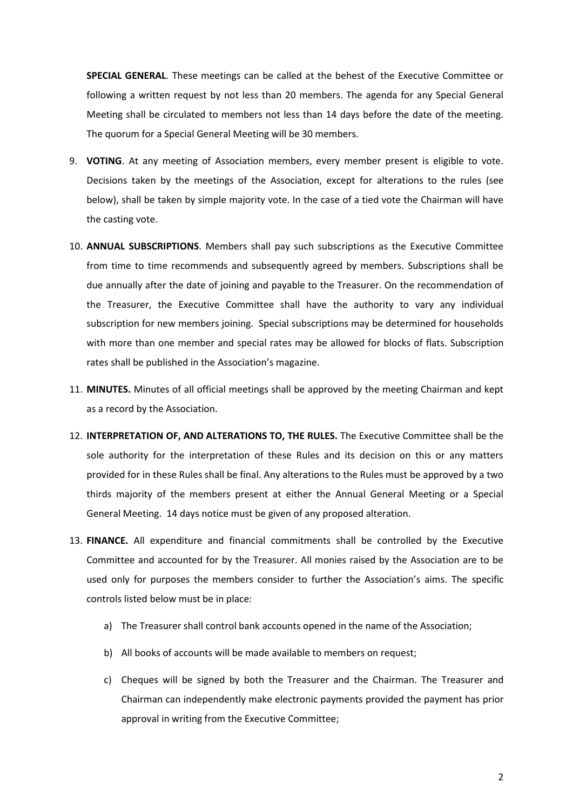**SPECIAL GENERAL**. These meetings can be called at the behest of the Executive Committee or following a written request by not less than 20 members. The agenda for any Special General Meeting shall be circulated to members not less than 14 days before the date of the meeting. The quorum for a Special General Meeting will be 30 members.

- 9. **VOTING**. At any meeting of Association members, every member present is eligible to vote. Decisions taken by the meetings of the Association, except for alterations to the rules (see below), shall be taken by simple majority vote. In the case of a tied vote the Chairman will have the casting vote.
- 10. **ANNUAL SUBSCRIPTIONS**. Members shall pay such subscriptions as the Executive Committee from time to time recommends and subsequently agreed by members. Subscriptions shall be due annually after the date of joining and payable to the Treasurer. On the recommendation of the Treasurer, the Executive Committee shall have the authority to vary any individual subscription for new members joining. Special subscriptions may be determined for households with more than one member and special rates may be allowed for blocks of flats. Subscription rates shall be published in the Association's magazine.
- 11. **MINUTES.** Minutes of all official meetings shall be approved by the meeting Chairman and kept as a record by the Association.
- 12. **INTERPRETATION OF, AND ALTERATIONS TO, THE RULES.** The Executive Committee shall be the sole authority for the interpretation of these Rules and its decision on this or any matters provided for in these Rules shall be final. Any alterations to the Rules must be approved by a two thirds majority of the members present at either the Annual General Meeting or a Special General Meeting. 14 days notice must be given of any proposed alteration.
- 13. **FINANCE.** All expenditure and financial commitments shall be controlled by the Executive Committee and accounted for by the Treasurer. All monies raised by the Association are to be used only for purposes the members consider to further the Association's aims. The specific controls listed below must be in place:
	- a) The Treasurer shall control bank accounts opened in the name of the Association;
	- b) All books of accounts will be made available to members on request;
	- c) Cheques will be signed by both the Treasurer and the Chairman. The Treasurer and Chairman can independently make electronic payments provided the payment has prior approval in writing from the Executive Committee;